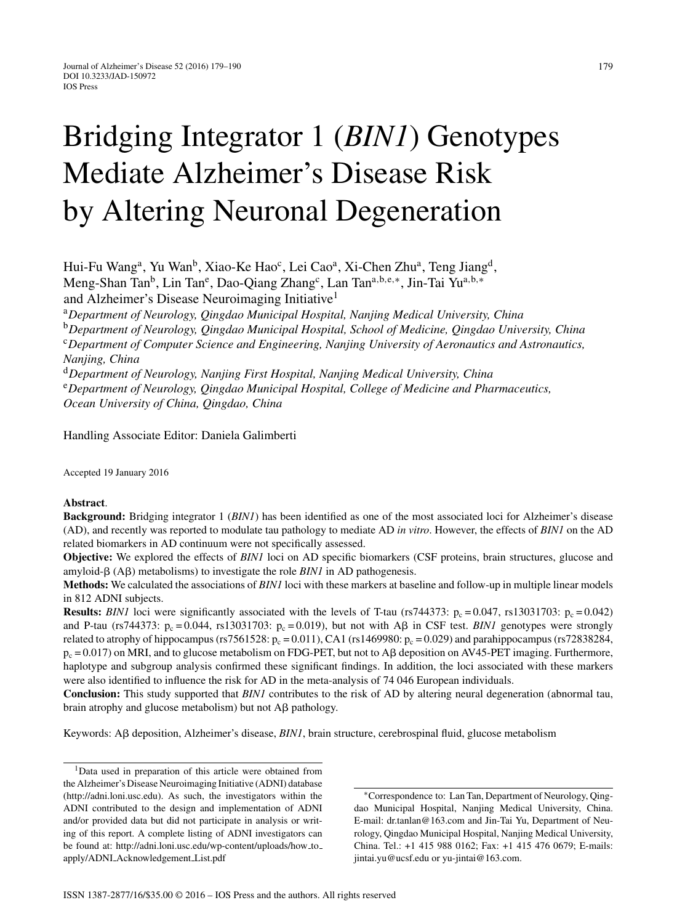# Bridging Integrator 1 (*BIN1*) Genotypes Mediate Alzheimer's Disease Risk by Altering Neuronal Degeneration

Hui-Fu Wang<sup>a</sup>, Yu Wan<sup>b</sup>, Xiao-Ke Hao<sup>c</sup>, Lei Cao<sup>a</sup>, Xi-Chen Zhu<sup>a</sup>, Teng Jiang<sup>d</sup>, Meng-Shan Tan<sup>b</sup>, Lin Tan<sup>e</sup>, Dao-Qiang Zhang<sup>c</sup>, Lan Tan<sup>a,b,e,\*</sup>, Jin-Tai Yu<sup>a,b,\*</sup> and Alzheimer's Disease Neuroimaging Initiative<sup>1</sup>

<sup>a</sup>*Department of Neurology, Qingdao Municipal Hospital, Nanjing Medical University, China*

<sup>b</sup>*Department of Neurology, Qingdao Municipal Hospital, School of Medicine, Qingdao University, China* <sup>c</sup>*Department of Computer Science and Engineering, Nanjing University of Aeronautics and Astronautics, Nanjing, China*

<sup>d</sup>*Department of Neurology, Nanjing First Hospital, Nanjing Medical University, China* <sup>e</sup>*Department of Neurology, Qingdao Municipal Hospital, College of Medicine and Pharmaceutics, Ocean University of China, Qingdao, China*

Handling Associate Editor: Daniela Galimberti

Accepted 19 January 2016

## **Abstract**.

**Background:** Bridging integrator 1 (*BIN1*) has been identified as one of the most associated loci for Alzheimer's disease (AD), and recently was reported to modulate tau pathology to mediate AD *in vitro*. However, the effects of *BIN1* on the AD related biomarkers in AD continuum were not specifically assessed.

**Objective:** We explored the effects of *BIN1* loci on AD specific biomarkers (CSF proteins, brain structures, glucose and amyloid- $\beta$  (A $\beta$ ) metabolisms) to investigate the role *BIN1* in AD pathogenesis.

**Methods:** We calculated the associations of *BIN1* loci with these markers at baseline and follow-up in multiple linear models in 812 ADNI subjects.

**Results:** *BIN1* loci were significantly associated with the levels of T-tau (rs744373:  $p_c = 0.047$ , rs13031703:  $p_c = 0.042$ ) and P-tau (rs744373:  $p_c = 0.044$ , rs13031703:  $p_c = 0.019$ ), but not with A $\beta$  in CSF test. *BIN1* genotypes were strongly related to atrophy of hippocampus (rs7561528:  $p_c = 0.011$ ), CA1 (rs1469980:  $p_c = 0.029$ ) and parahippocampus (rs72838284,  $p_c = 0.017$ ) on MRI, and to glucose metabolism on FDG-PET, but not to A $\beta$  deposition on AV45-PET imaging. Furthermore, haplotype and subgroup analysis confirmed these significant findings. In addition, the loci associated with these markers were also identified to influence the risk for AD in the meta-analysis of 74 046 European individuals.

**Conclusion:** This study supported that *BIN1* contributes to the risk of AD by altering neural degeneration (abnormal tau, brain atrophy and glucose metabolism) but not  $\overrightarrow{AB}$  pathology.

Keywords: Aβ deposition, Alzheimer's disease, *BIN1*, brain structure, cerebrospinal fluid, glucose metabolism

<sup>1</sup>Data used in preparation of this article were obtained from the Alzheimer's Disease Neuroimaging Initiative (ADNI) database ([http://adni.loni.usc.edu\)](http://adni.loni.usc.edu). As such, the investigators within the ADNI contributed to the design and implementation of ADNI and/or provided data but did not participate in analysis or writing of this report. A complete listing of ADNI investigators can be found at: [http://adni.loni.usc.edu/wp-content/uploads/how](http://adni.loni.usc.edu/wp-content/uploads/how_to_apply/ADNI_Acknowledgement_List.pdf) to apply/ADNI [Acknowledgement](http://adni.loni.usc.edu/wp-content/uploads/how_to_apply/ADNI_Acknowledgement_List.pdf) List.pdf

∗Correspondence to: Lan Tan, Department of Neurology, Qingdao Municipal Hospital, Nanjing Medical University, China. E-mail: [dr.tanlan@163.com](mailto:dr.tanlan@163.com) and Jin-Tai Yu, Department of Neurology, Qingdao Municipal Hospital, Nanjing Medical University, China. Tel.: +1 415 988 0162; Fax: +1 415 476 0679; E-mails: [jintai.yu@ucsf.edu](mailto:jintai.yu@ucsf.edu) or [yu-jintai@163.com.](mailto:yu-jintai@163.com)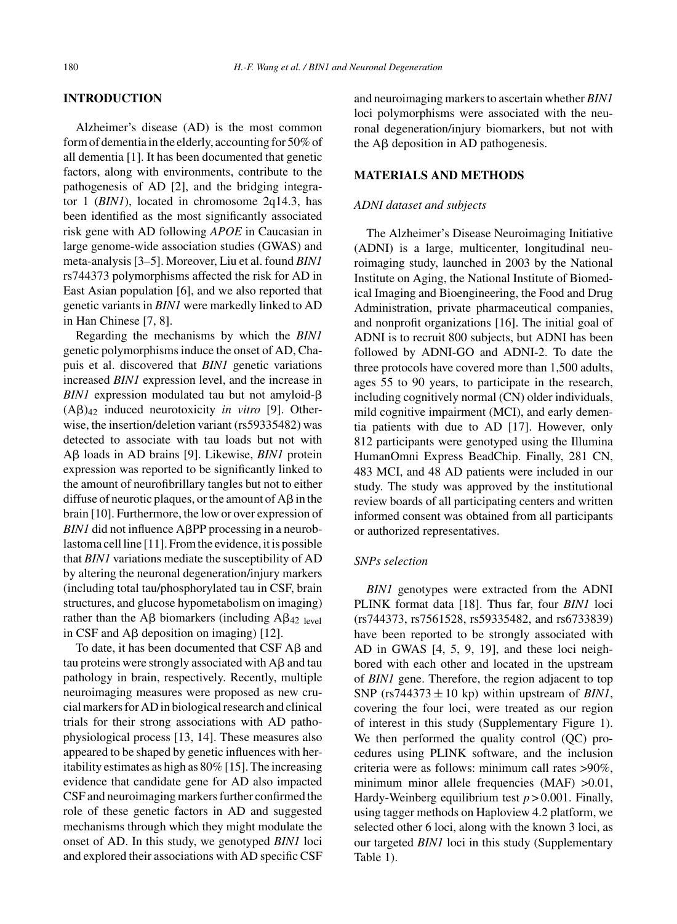## **INTRODUCTION**

Alzheimer's disease (AD) is the most common form of dementia in the elderly, accounting for 50% of all dementia [1]. It has been documented that genetic factors, along with environments, contribute to the pathogenesis of AD [2], and the bridging integrator 1 (*BIN1*), located in chromosome 2q14.3, has been identified as the most significantly associated risk gene with AD following *APOE* in Caucasian in large genome-wide association studies (GWAS) and meta-analysis [3–5]. Moreover, Liu et al. found *BIN1* rs744373 polymorphisms affected the risk for AD in East Asian population [6], and we also reported that genetic variants in *BIN1* were markedly linked to AD in Han Chinese [7, 8].

Regarding the mechanisms by which the *BIN1* genetic polymorphisms induce the onset of AD, Chapuis et al. discovered that *BIN1* genetic variations increased *BIN1* expression level, and the increase in  $BIN1$  expression modulated tau but not amyloid- $\beta$  $(A\beta)_{42}$  induced neurotoxicity *in vitro* [9]. Otherwise, the insertion/deletion variant (rs59335482) was detected to associate with tau loads but not with Aβ loads in AD brains [9]. Likewise, *BIN1* protein expression was reported to be significantly linked to the amount of neurofibrillary tangles but not to either diffuse of neurotic plaques, or the amount of  $A\beta$  in the brain [10]. Furthermore, the low or over expression of  $BINI$  did not influence  $A\beta PP$  processing in a neuroblastoma cell line [11]. From the evidence, it is possible that *BIN1* variations mediate the susceptibility of AD by altering the neuronal degeneration/injury markers (including total tau/phosphorylated tau in CSF, brain structures, and glucose hypometabolism on imaging) rather than the A $\beta$  biomarkers (including A $\beta_{42}$  level in CSF and  $\overline{AB}$  deposition on imaging) [12].

To date, it has been documented that  $CSF$  A $\beta$  and tau proteins were strongly associated with  $\text{A}\beta$  and tau pathology in brain, respectively. Recently, multiple neuroimaging measures were proposed as new crucial markers for AD in biological research and clinical trials for their strong associations with AD pathophysiological process [13, 14]. These measures also appeared to be shaped by genetic influences with heritability estimates as high as 80% [15]. The increasing evidence that candidate gene for AD also impacted CSF and neuroimaging markers further confirmed the role of these genetic factors in AD and suggested mechanisms through which they might modulate the onset of AD. In this study, we genotyped *BIN1* loci and explored their associations with AD specific CSF and neuroimaging markers to ascertain whether *BIN1* loci polymorphisms were associated with the neuronal degeneration/injury biomarkers, but not with the  $\mathbf{A}\beta$  deposition in AD pathogenesis.

# **MATERIALS AND METHODS**

# *ADNI dataset and subjects*

The Alzheimer's Disease Neuroimaging Initiative (ADNI) is a large, multicenter, longitudinal neuroimaging study, launched in 2003 by the National Institute on Aging, the National Institute of Biomedical Imaging and Bioengineering, the Food and Drug Administration, private pharmaceutical companies, and nonprofit organizations [16]. The initial goal of ADNI is to recruit 800 subjects, but ADNI has been followed by ADNI-GO and ADNI-2. To date the three protocols have covered more than 1,500 adults, ages 55 to 90 years, to participate in the research, including cognitively normal (CN) older individuals, mild cognitive impairment (MCI), and early dementia patients with due to AD [17]. However, only 812 participants were genotyped using the Illumina HumanOmni Express BeadChip. Finally, 281 CN, 483 MCI, and 48 AD patients were included in our study. The study was approved by the institutional review boards of all participating centers and written informed consent was obtained from all participants or authorized representatives.

# *SNPs selection*

*BIN1* genotypes were extracted from the ADNI PLINK format data [18]. Thus far, four *BIN1* loci (rs744373, rs7561528, rs59335482, and rs6733839) have been reported to be strongly associated with AD in GWAS [4, 5, 9, 19], and these loci neighbored with each other and located in the upstream of *BIN1* gene. Therefore, the region adjacent to top SNP ( $rs744373 \pm 10$  kp) within upstream of *BIN1*, covering the four loci, were treated as our region of interest in this study (Supplementary Figure 1). We then performed the quality control (QC) procedures using PLINK software, and the inclusion criteria were as follows: minimum call rates >90%, minimum minor allele frequencies (MAF) >0.01, Hardy-Weinberg equilibrium test  $p > 0.001$ . Finally, using tagger methods on Haploview 4.2 platform, we selected other 6 loci, along with the known 3 loci, as our targeted *BIN1* loci in this study (Supplementary Table 1).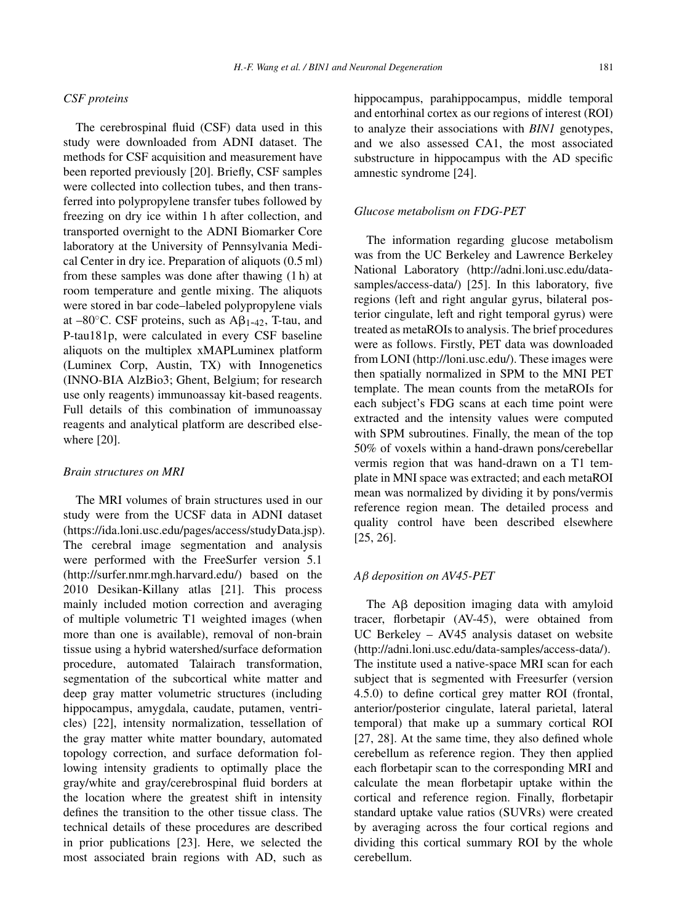# *CSF proteins*

The cerebrospinal fluid (CSF) data used in this study were downloaded from ADNI dataset. The methods for CSF acquisition and measurement have been reported previously [20]. Briefly, CSF samples were collected into collection tubes, and then transferred into polypropylene transfer tubes followed by freezing on dry ice within 1 h after collection, and transported overnight to the ADNI Biomarker Core laboratory at the University of Pennsylvania Medical Center in dry ice. Preparation of aliquots (0.5 ml) from these samples was done after thawing (1 h) at room temperature and gentle mixing. The aliquots were stored in bar code–labeled polypropylene vials at  $-80^{\circ}$ C. CSF proteins, such as  $A\beta_{1-42}$ , T-tau, and P-tau181p, were calculated in every CSF baseline aliquots on the multiplex xMAPLuminex platform (Luminex Corp, Austin, TX) with Innogenetics (INNO-BIA AlzBio3; Ghent, Belgium; for research use only reagents) immunoassay kit-based reagents. Full details of this combination of immunoassay reagents and analytical platform are described elsewhere [20].

## *Brain structures on MRI*

The MRI volumes of brain structures used in our study were from the UCSF data in ADNI dataset [\(https://ida.loni.usc.edu/pages/access/studyData.jsp\)](https://ida.loni.usc.edu/pages/access/studyData.jsp). The cerebral image segmentation and analysis were performed with the FreeSurfer version 5.1 [\(http://surfer.nmr.mgh.harvard.edu/](http://surfer.nmr.mgh.harvard.edu/)) based on the 2010 Desikan-Killany atlas [21]. This process mainly included motion correction and averaging of multiple volumetric T1 weighted images (when more than one is available), removal of non-brain tissue using a hybrid watershed/surface deformation procedure, automated Talairach transformation, segmentation of the subcortical white matter and deep gray matter volumetric structures (including hippocampus, amygdala, caudate, putamen, ventricles) [22], intensity normalization, tessellation of the gray matter white matter boundary, automated topology correction, and surface deformation following intensity gradients to optimally place the gray/white and gray/cerebrospinal fluid borders at the location where the greatest shift in intensity defines the transition to the other tissue class. The technical details of these procedures are described in prior publications [23]. Here, we selected the most associated brain regions with AD, such as

hippocampus, parahippocampus, middle temporal and entorhinal cortex as our regions of interest (ROI) to analyze their associations with *BIN1* genotypes, and we also assessed CA1, the most associated substructure in hippocampus with the AD specific amnestic syndrome [24].

# *Glucose metabolism on FDG-PET*

The information regarding glucose metabolism was from the UC Berkeley and Lawrence Berkeley National Laboratory ([http://adni.loni.usc.edu/data](http://adni.loni.usc.edu/data-samples/access-data/)samples/access-data/) [25]. In this laboratory, five regions (left and right angular gyrus, bilateral posterior cingulate, left and right temporal gyrus) were treated as metaROIs to analysis. The brief procedures were as follows. Firstly, PET data was downloaded from LONI [\(http://loni.usc.edu/](http://loni.usc.edu/)). These images were then spatially normalized in SPM to the MNI PET template. The mean counts from the metaROIs for each subject's FDG scans at each time point were extracted and the intensity values were computed with SPM subroutines. Finally, the mean of the top 50% of voxels within a hand-drawn pons/cerebellar vermis region that was hand-drawn on a T1 template in MNI space was extracted; and each metaROI mean was normalized by dividing it by pons/vermis reference region mean. The detailed process and quality control have been described elsewhere [25, 26].

# *A*β *deposition on AV45-PET*

The  $\overline{AB}$  deposition imaging data with amyloid tracer, florbetapir (AV-45), were obtained from UC Berkeley – AV45 analysis dataset on website [\(http://adni.loni.usc.edu/data-samples/access-data/](http://adni.loni.usc.edu/data-samples/access-data/)). The institute used a native-space MRI scan for each subject that is segmented with Freesurfer (version 4.5.0) to define cortical grey matter ROI (frontal, anterior/posterior cingulate, lateral parietal, lateral temporal) that make up a summary cortical ROI [27, 28]. At the same time, they also defined whole cerebellum as reference region. They then applied each florbetapir scan to the corresponding MRI and calculate the mean florbetapir uptake within the cortical and reference region. Finally, florbetapir standard uptake value ratios (SUVRs) were created by averaging across the four cortical regions and dividing this cortical summary ROI by the whole cerebellum.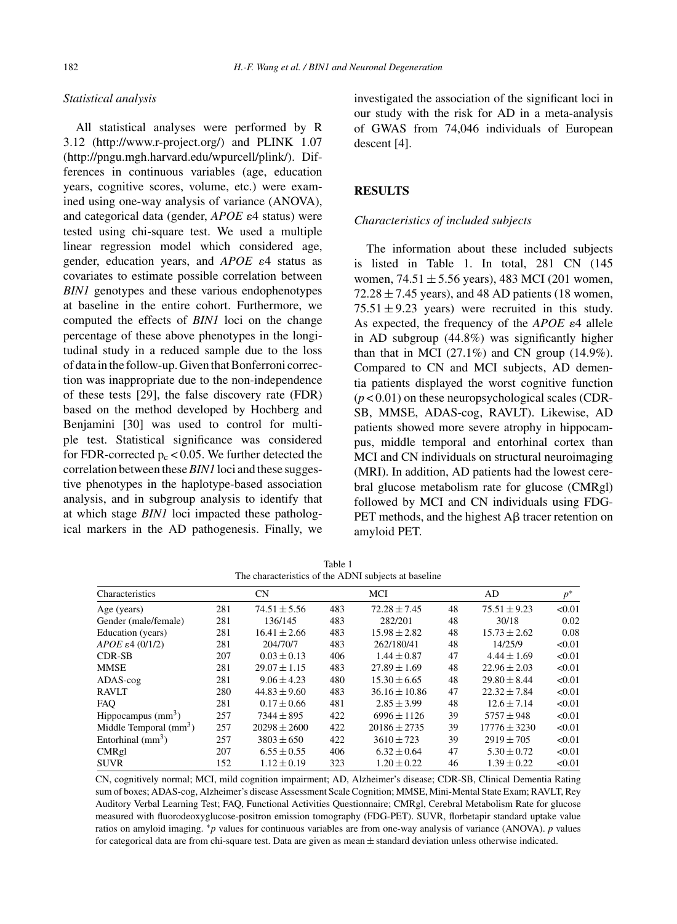# *Statistical analysis*

All statistical analyses were performed by R 3.12 (<http://www.r-project.org/>) and PLINK 1.07 [\(http://pngu.mgh.harvard.edu/wpurcell/plink/](http://pngu.mgh.harvard.edu/wpurcell/plink/)). Differences in continuous variables (age, education years, cognitive scores, volume, etc.) were examined using one-way analysis of variance (ANOVA), and categorical data (gender, *APOE*  $\varepsilon$ 4 status) were tested using chi-square test. We used a multiple linear regression model which considered age, gender, education years, and  $APOE$   $\varepsilon$ <sup>4</sup> status as covariates to estimate possible correlation between *BIN1* genotypes and these various endophenotypes at baseline in the entire cohort. Furthermore, we computed the effects of *BIN1* loci on the change percentage of these above phenotypes in the longitudinal study in a reduced sample due to the loss of data in the follow-up. Given that Bonferroni correction was inappropriate due to the non-independence of these tests [29], the false discovery rate (FDR) based on the method developed by Hochberg and Benjamini [30] was used to control for multiple test. Statistical significance was considered for FDR-corrected  $p_c < 0.05$ . We further detected the correlation between these*BIN1* loci and these suggestive phenotypes in the haplotype-based association analysis, and in subgroup analysis to identify that at which stage *BIN1* loci impacted these pathological markers in the AD pathogenesis. Finally, we investigated the association of the significant loci in our study with the risk for AD in a meta-analysis of GWAS from 74,046 individuals of European descent [4].

# **RESULTS**

#### *Characteristics of included subjects*

The information about these included subjects is listed in Table 1. In total, 281 CN (145 women,  $74.51 \pm 5.56$  years), 483 MCI (201 women,  $72.28 \pm 7.45$  years), and 48 AD patients (18 women,  $75.51 \pm 9.23$  years) were recruited in this study. As expected, the frequency of the  $APOE \varepsilon 4$  allele in AD subgroup (44.8%) was significantly higher than that in MCI  $(27.1\%)$  and CN group  $(14.9\%).$ Compared to CN and MCI subjects, AD dementia patients displayed the worst cognitive function (*p* < 0.01) on these neuropsychological scales (CDR-SB, MMSE, ADAS-cog, RAVLT). Likewise, AD patients showed more severe atrophy in hippocampus, middle temporal and entorhinal cortex than MCI and CN individuals on structural neuroimaging (MRI). In addition, AD patients had the lowest cerebral glucose metabolism rate for glucose (CMRgl) followed by MCI and CN individuals using FDG-PET methods, and the highest  $A\beta$  tracer retention on amyloid PET.

| The characteristics of the ADNI subjects at baseline |           |                  |     |                   |    |                  |        |
|------------------------------------------------------|-----------|------------------|-----|-------------------|----|------------------|--------|
| Characteristics                                      | <b>CN</b> |                  | MCI |                   | AD |                  | $p^*$  |
| Age (years)                                          | 281       | $74.51 \pm 5.56$ | 483 | $72.28 \pm 7.45$  | 48 | $75.51 \pm 9.23$ | < 0.01 |
| Gender (male/female)                                 | 281       | 136/145          | 483 | 282/201           | 48 | 30/18            | 0.02   |
| Education (years)                                    | 281       | $16.41 \pm 2.66$ | 483 | $15.98 \pm 2.82$  | 48 | $15.73 \pm 2.62$ | 0.08   |
| $APOE \epsilon 4$ (0/1/2)                            | 281       | 204/70/7         | 483 | 262/180/41        | 48 | 14/25/9          | < 0.01 |
| <b>CDR-SB</b>                                        | 207       | $0.03 \pm 0.13$  | 406 | $1.44 \pm 0.87$   | 47 | $4.44 \pm 1.69$  | < 0.01 |
| MMSE                                                 | 281       | $29.07 \pm 1.15$ | 483 | $27.89 \pm 1.69$  | 48 | $22.96 \pm 2.03$ | < 0.01 |
| ADAS-cog                                             | 281       | $9.06 \pm 4.23$  | 480 | $15.30 \pm 6.65$  | 48 | $29.80 \pm 8.44$ | < 0.01 |
| <b>RAVLT</b>                                         | 280       | $44.83 \pm 9.60$ | 483 | $36.16 \pm 10.86$ | 47 | $22.32 \pm 7.84$ | < 0.01 |
| <b>FAO</b>                                           | 281       | $0.17 \pm 0.66$  | 481 | $2.85 \pm 3.99$   | 48 | $12.6 \pm 7.14$  | < 0.01 |
| Hippocampus $(mm3)$                                  | 257       | $7344 \pm 895$   | 422 | $6996 \pm 1126$   | 39 | $5757 \pm 948$   | < 0.01 |
| Middle Temporal $(mm3)$                              | 257       | $20298 \pm 2600$ | 422 | $20186 \pm 2735$  | 39 | $17776 \pm 3230$ | < 0.01 |
| Entorhinal $\text{(mm}^3)$                           | 257       | $3803 \pm 650$   | 422 | $3610 \pm 723$    | 39 | $2919 \pm 705$   | < 0.01 |
| CMRgl                                                | 207       | $6.55 \pm 0.55$  | 406 | $6.32 \pm 0.64$   | 47 | $5.30 \pm 0.72$  | < 0.01 |
| <b>SUVR</b>                                          | 152       | $1.12 \pm 0.19$  | 323 | $1.20 \pm 0.22$   | 46 | $1.39 \pm 0.22$  | < 0.01 |

Table 1 The characteristics of the ADNI subjects at baseline

CN, cognitively normal; MCI, mild cognition impairment; AD, Alzheimer's disease; CDR-SB, Clinical Dementia Rating sum of boxes; ADAS-cog, Alzheimer's disease Assessment Scale Cognition; MMSE, Mini-Mental State Exam; RAVLT, Rey Auditory Verbal Learning Test; FAQ, Functional Activities Questionnaire; CMRgl, Cerebral Metabolism Rate for glucose measured with fluorodeoxyglucose-positron emission tomography (FDG-PET). SUVR, florbetapir standard uptake value ratios on amyloid imaging. ∗*p* values for continuous variables are from one-way analysis of variance (ANOVA). *p* values for categorical data are from chi-square test. Data are given as mean  $\pm$  standard deviation unless otherwise indicated.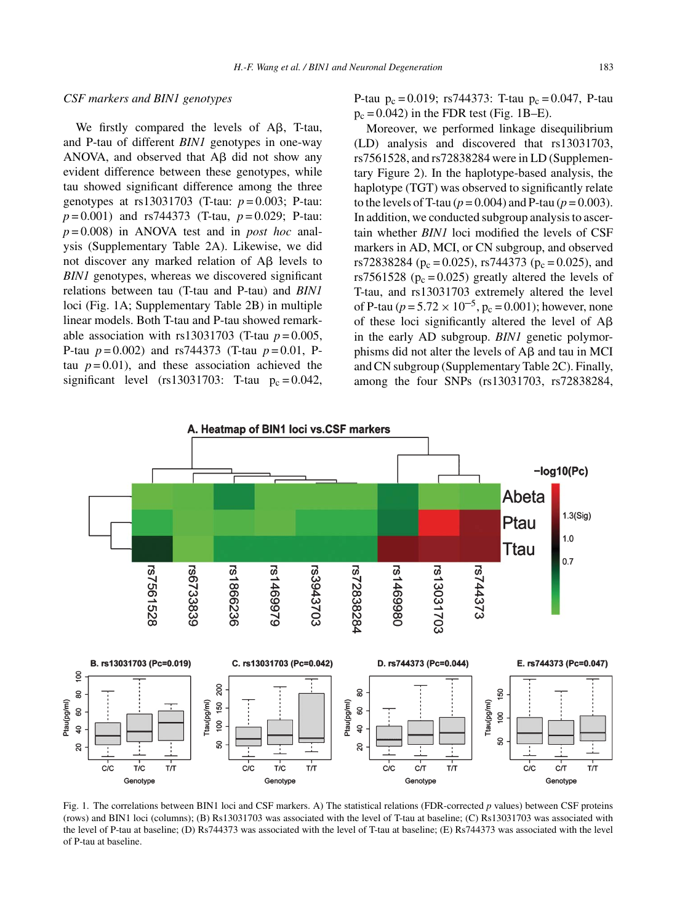# *CSF markers and BIN1 genotypes*

We firstly compared the levels of  $A\beta$ , T-tau, and P-tau of different *BIN1* genotypes in one-way ANOVA, and observed that  $A\beta$  did not show any evident difference between these genotypes, while tau showed significant difference among the three genotypes at rs13031703 (T-tau: *p* = 0.003; P-tau: *p* = 0.001) and rs744373 (T-tau, *p* = 0.029; P-tau: *p* = 0.008) in ANOVA test and in *post hoc* analysis (Supplementary Table 2A). Likewise, we did not discover any marked relation of  $A\beta$  levels to *BIN1* genotypes, whereas we discovered significant relations between tau (T-tau and P-tau) and *BIN1* loci (Fig. 1A; Supplementary Table 2B) in multiple linear models. Both T-tau and P-tau showed remarkable association with  $rs13031703$  (T-tau  $p=0.005$ , P-tau *p* = 0.002) and rs744373 (T-tau *p* = 0.01, Ptau  $p = 0.01$ ), and these association achieved the significant level (rs13031703: T-tau  $p_c = 0.042$ , P-tau  $p_c = 0.019$ ; rs744373: T-tau  $p_c = 0.047$ , P-tau  $p_c = 0.042$ ) in the FDR test (Fig. 1B–E).

Moreover, we performed linkage disequilibrium (LD) analysis and discovered that rs13031703, rs7561528, and rs72838284 were in LD (Supplementary Figure 2). In the haplotype-based analysis, the haplotype (TGT) was observed to significantly relate to the levels of T-tau ( $p = 0.004$ ) and P-tau ( $p = 0.003$ ). In addition, we conducted subgroup analysis to ascertain whether *BIN1* loci modified the levels of CSF markers in AD, MCI, or CN subgroup, and observed rs72838284 ( $p_c = 0.025$ ), rs744373 ( $p_c = 0.025$ ), and rs7561528 ( $p_c = 0.025$ ) greatly altered the levels of T-tau, and rs13031703 extremely altered the level of P-tau ( $p = 5.72 \times 10^{-5}$ ,  $p_c = 0.001$ ); however, none of these loci significantly altered the level of  $A\beta$ in the early AD subgroup. *BIN1* genetic polymorphisms did not alter the levels of  $A\beta$  and tau in MCI and CN subgroup (Supplementary Table 2C). Finally, among the four SNPs (rs13031703, rs72838284,



Fig. 1. The correlations between BIN1 loci and CSF markers. A) The statistical relations (FDR-corrected *p* values) between CSF proteins (rows) and BIN1 loci (columns); (B) Rs13031703 was associated with the level of T-tau at baseline; (C) Rs13031703 was associated with the level of P-tau at baseline; (D) Rs744373 was associated with the level of T-tau at baseline; (E) Rs744373 was associated with the level of P-tau at baseline.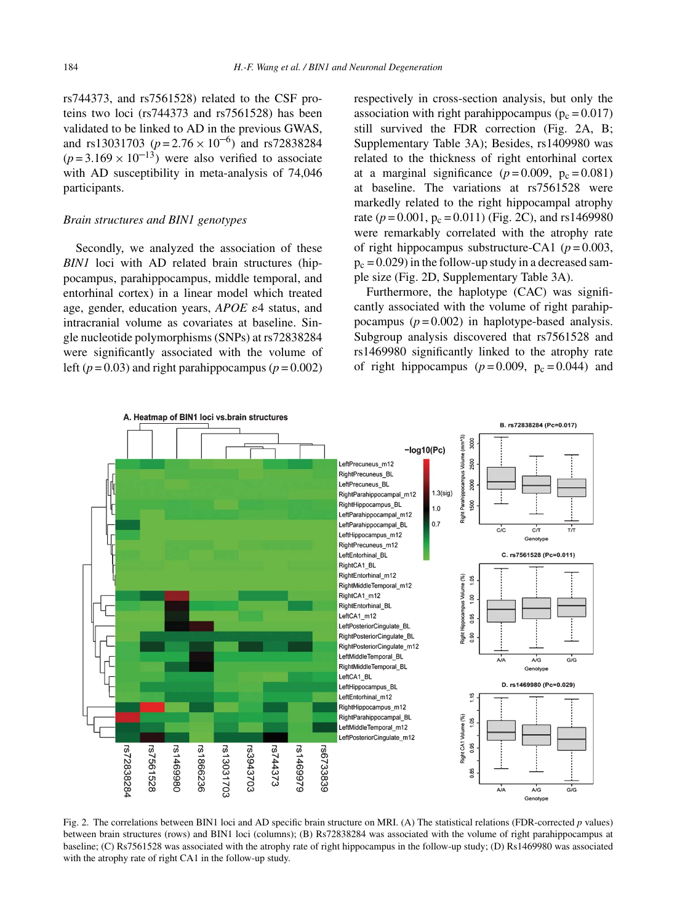rs744373, and rs7561528) related to the CSF proteins two loci (rs744373 and rs7561528) has been validated to be linked to AD in the previous GWAS, and rs13031703 ( $p = 2.76 \times 10^{-6}$ ) and rs72838284  $(p=3.169 \times 10^{-13})$  were also verified to associate with AD susceptibility in meta-analysis of 74,046 participants.

#### *Brain structures and BIN1 genotypes*

Secondly, we analyzed the association of these *BIN1* loci with AD related brain structures (hippocampus, parahippocampus, middle temporal, and entorhinal cortex) in a linear model which treated age, gender, education years, *APOE*  $\varepsilon$ 4 status, and intracranial volume as covariates at baseline. Single nucleotide polymorphisms (SNPs) at rs72838284 were significantly associated with the volume of left ( $p = 0.03$ ) and right parahippocampus ( $p = 0.002$ )

respectively in cross-section analysis, but only the association with right parahippocampus ( $p_c = 0.017$ ) still survived the FDR correction (Fig. 2A, B; Supplementary Table 3A); Besides, rs1409980 was related to the thickness of right entorhinal cortex at a marginal significance  $(p=0.009, p_c=0.081)$ at baseline. The variations at rs7561528 were markedly related to the right hippocampal atrophy rate ( $p = 0.001$ ,  $p_c = 0.011$ ) (Fig. 2C), and rs1469980 were remarkably correlated with the atrophy rate of right hippocampus substructure-CA1 ( $p = 0.003$ ,  $p_c = 0.029$ ) in the follow-up study in a decreased sample size (Fig. 2D, Supplementary Table 3A).

Furthermore, the haplotype (CAC) was significantly associated with the volume of right parahippocampus  $(p=0.002)$  in haplotype-based analysis. Subgroup analysis discovered that rs7561528 and rs1469980 significantly linked to the atrophy rate of right hippocampus ( $p = 0.009$ ,  $p_c = 0.044$ ) and



Fig. 2. The correlations between BIN1 loci and AD specific brain structure on MRI. (A) The statistical relations (FDR-corrected *p* values) between brain structures (rows) and BIN1 loci (columns); (B) Rs72838284 was associated with the volume of right parahippocampus at baseline; (C) Rs7561528 was associated with the atrophy rate of right hippocampus in the follow-up study; (D) Rs1469980 was associated with the atrophy rate of right CA1 in the follow-up study.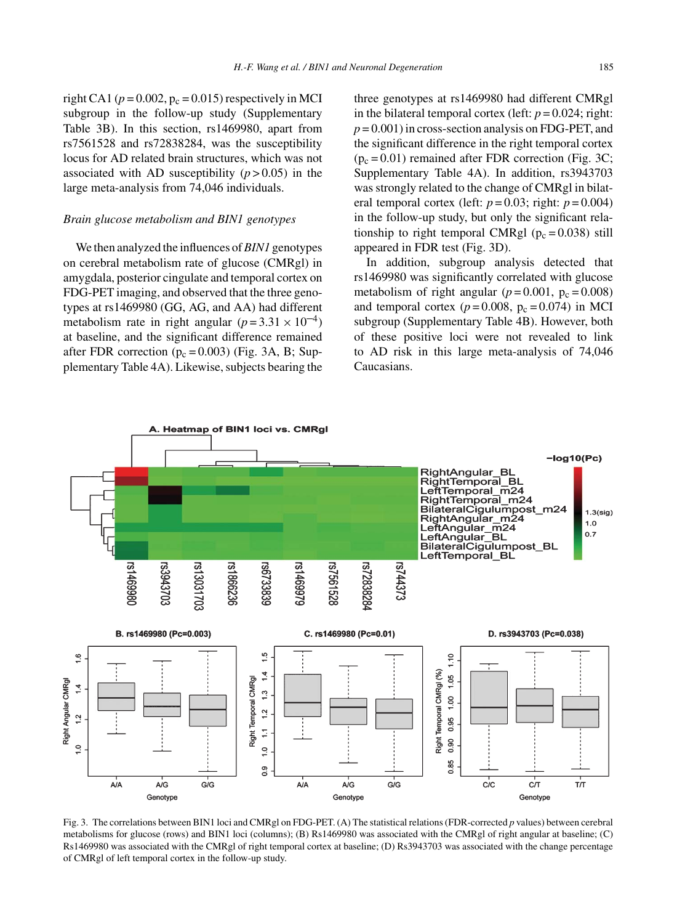right CA1 ( $p = 0.002$ ,  $p_c = 0.015$ ) respectively in MCI subgroup in the follow-up study (Supplementary Table 3B). In this section, rs1469980, apart from rs7561528 and rs72838284, was the susceptibility locus for AD related brain structures, which was not associated with AD susceptibility  $(p > 0.05)$  in the large meta-analysis from 74,046 individuals.

#### *Brain glucose metabolism and BIN1 genotypes*

We then analyzed the influences of*BIN1* genotypes on cerebral metabolism rate of glucose (CMRgl) in amygdala, posterior cingulate and temporal cortex on FDG-PET imaging, and observed that the three genotypes at rs1469980 (GG, AG, and AA) had different metabolism rate in right angular  $(p=3.31 \times 10^{-4})$ at baseline, and the significant difference remained after FDR correction ( $p_c = 0.003$ ) (Fig. 3A, B; Supplementary Table 4A). Likewise, subjects bearing the

three genotypes at rs1469980 had different CMRgl in the bilateral temporal cortex (left:  $p = 0.024$ ; right:  $p = 0.001$ ) in cross-section analysis on FDG-PET, and the significant difference in the right temporal cortex  $(p_c = 0.01)$  remained after FDR correction (Fig. 3C; Supplementary Table 4A). In addition, rs3943703 was strongly related to the change of CMRgl in bilateral temporal cortex (left:  $p = 0.03$ ; right:  $p = 0.004$ ) in the follow-up study, but only the significant relationship to right temporal CMRgl ( $p_c = 0.038$ ) still appeared in FDR test (Fig. 3D).

In addition, subgroup analysis detected that rs1469980 was significantly correlated with glucose metabolism of right angular ( $p = 0.001$ ,  $p_c = 0.008$ ) and temporal cortex  $(p=0.008, p_c=0.074)$  in MCI subgroup (Supplementary Table 4B). However, both of these positive loci were not revealed to link to AD risk in this large meta-analysis of 74,046 Caucasians.



Fig. 3. The correlations between BIN1 loci and CMRgl on FDG-PET. (A) The statistical relations (FDR-corrected *p* values) between cerebral metabolisms for glucose (rows) and BIN1 loci (columns); (B) Rs1469980 was associated with the CMRgl of right angular at baseline; (C) Rs1469980 was associated with the CMRgl of right temporal cortex at baseline; (D) Rs3943703 was associated with the change percentage of CMRgl of left temporal cortex in the follow-up study.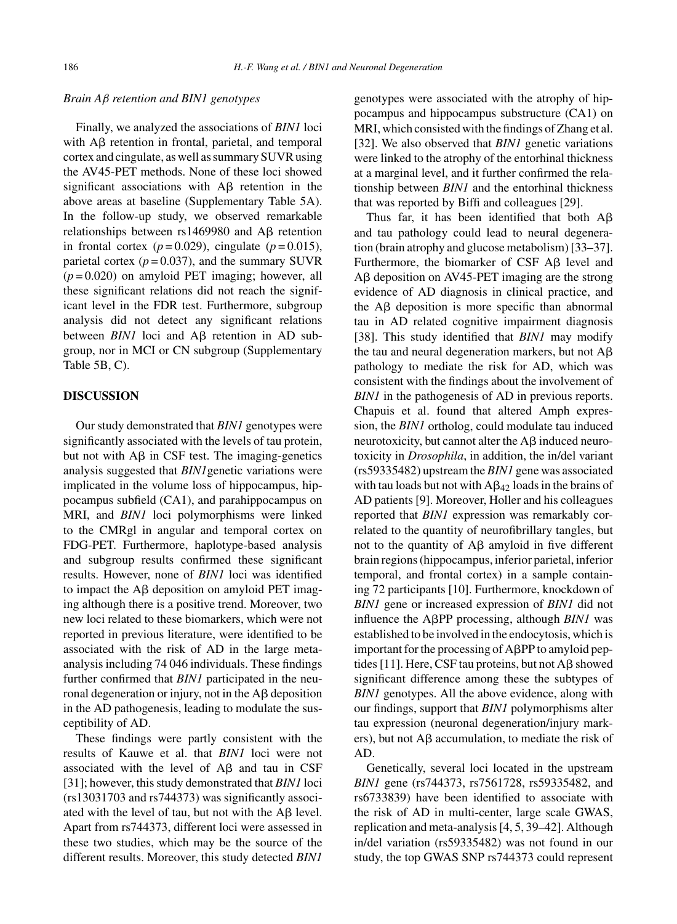# *Brain A*β *retention and BIN1 genotypes*

Finally, we analyzed the associations of *BIN1* loci with  $\text{A}\beta$  retention in frontal, parietal, and temporal cortex and cingulate, as well as summary SUVR using the AV45-PET methods. None of these loci showed significant associations with  $\overrightarrow{AB}$  retention in the above areas at baseline (Supplementary Table 5A). In the follow-up study, we observed remarkable relationships between  $rs1469980$  and A $\beta$  retention in frontal cortex  $(p=0.029)$ , cingulate  $(p=0.015)$ , parietal cortex  $(p=0.037)$ , and the summary SUVR  $(p=0.020)$  on amyloid PET imaging; however, all these significant relations did not reach the significant level in the FDR test. Furthermore, subgroup analysis did not detect any significant relations between  $BINI$  loci and  $A\beta$  retention in  $AD$  subgroup, nor in MCI or CN subgroup (Supplementary Table 5B, C).

# **DISCUSSION**

Our study demonstrated that *BIN1* genotypes were significantly associated with the levels of tau protein, but not with  $\overrightarrow{AB}$  in CSF test. The imaging-genetics analysis suggested that *BIN1*genetic variations were implicated in the volume loss of hippocampus, hippocampus subfield (CA1), and parahippocampus on MRI, and *BIN1* loci polymorphisms were linked to the CMRgl in angular and temporal cortex on FDG-PET. Furthermore, haplotype-based analysis and subgroup results confirmed these significant results. However, none of *BIN1* loci was identified to impact the  $\text{A}\beta$  deposition on amyloid PET imaging although there is a positive trend. Moreover, two new loci related to these biomarkers, which were not reported in previous literature, were identified to be associated with the risk of AD in the large metaanalysis including 74 046 individuals. These findings further confirmed that *BIN1* participated in the neuronal degeneration or injury, not in the  $\text{A}\beta$  deposition in the AD pathogenesis, leading to modulate the susceptibility of AD.

These findings were partly consistent with the results of Kauwe et al. that *BIN1* loci were not associated with the level of  $\overrightarrow{AB}$  and tau in CSF [31]; however, this study demonstrated that *BIN1* loci (rs13031703 and rs744373) was significantly associated with the level of tau, but not with the  $\text{A}\beta$  level. Apart from rs744373, different loci were assessed in these two studies, which may be the source of the different results. Moreover, this study detected *BIN1*

genotypes were associated with the atrophy of hippocampus and hippocampus substructure (CA1) on MRI, which consisted with the findings of Zhang et al. [32]. We also observed that *BIN1* genetic variations were linked to the atrophy of the entorhinal thickness at a marginal level, and it further confirmed the relationship between *BIN1* and the entorhinal thickness that was reported by Biffi and colleagues [29].

Thus far, it has been identified that both  $A\beta$ and tau pathology could lead to neural degeneration (brain atrophy and glucose metabolism) [33–37]. Furthermore, the biomarker of CSF  $\text{A}\beta$  level and  $A\beta$  deposition on AV45-PET imaging are the strong evidence of AD diagnosis in clinical practice, and the  $\text{A}\beta$  deposition is more specific than abnormal tau in AD related cognitive impairment diagnosis [38]. This study identified that *BIN1* may modify the tau and neural degeneration markers, but not  $A\beta$ pathology to mediate the risk for AD, which was consistent with the findings about the involvement of *BIN1* in the pathogenesis of AD in previous reports. Chapuis et al. found that altered Amph expression, the *BIN1* ortholog, could modulate tau induced neurotoxicity, but cannot alter the  $\text{A}\beta$  induced neurotoxicity in *Drosophila*, in addition, the in/del variant (rs59335482) upstream the *BIN1* gene was associated with tau loads but not with  $A\beta_{42}$  loads in the brains of AD patients [9]. Moreover, Holler and his colleagues reported that *BIN1* expression was remarkably correlated to the quantity of neurofibrillary tangles, but not to the quantity of  $A\beta$  amyloid in five different brain regions (hippocampus, inferior parietal, inferior temporal, and frontal cortex) in a sample containing 72 participants [10]. Furthermore, knockdown of *BIN1* gene or increased expression of *BIN1* did not influence the A<sub>B</sub>PP processing, although *BIN1* was established to be involved in the endocytosis, which is important for the processing of  $A\beta PP$  to amyloid peptides [11]. Here, CSF tau proteins, but not  $\mathsf{A}\beta$  showed significant difference among these the subtypes of *BIN1* genotypes. All the above evidence, along with our findings, support that *BIN1* polymorphisms alter tau expression (neuronal degeneration/injury markers), but not  $\text{A}\beta$  accumulation, to mediate the risk of AD.

Genetically, several loci located in the upstream *BIN1* gene (rs744373, rs7561728, rs59335482, and rs6733839) have been identified to associate with the risk of AD in multi-center, large scale GWAS, replication and meta-analysis [4, 5, 39–42]. Although in/del variation (rs59335482) was not found in our study, the top GWAS SNP rs744373 could represent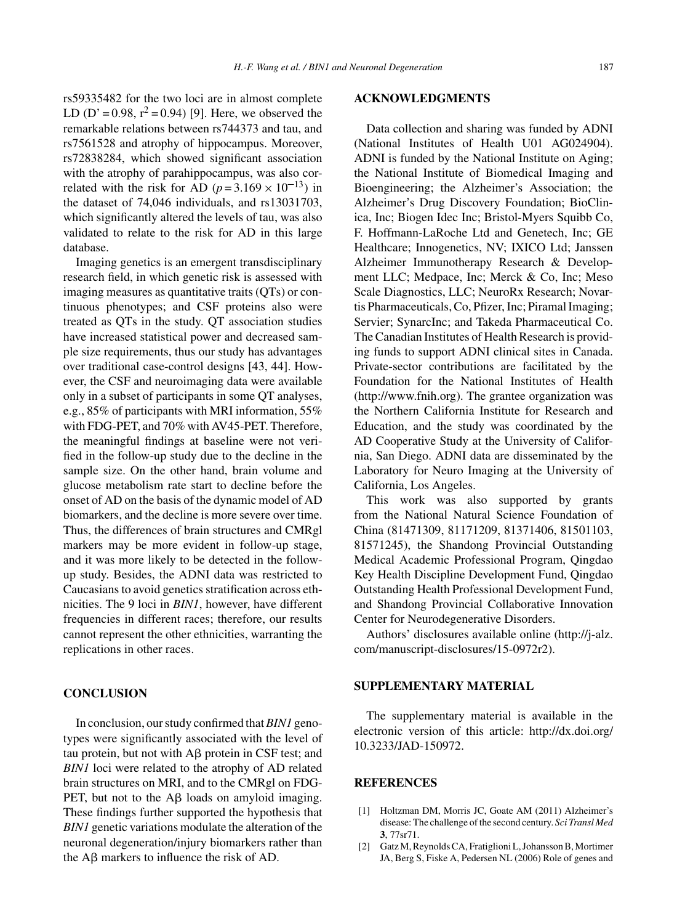rs59335482 for the two loci are in almost complete LD (D' = 0.98,  $r^2$  = 0.94) [9]. Here, we observed the remarkable relations between rs744373 and tau, and rs7561528 and atrophy of hippocampus. Moreover, rs72838284, which showed significant association with the atrophy of parahippocampus, was also correlated with the risk for AD ( $p = 3.169 \times 10^{-13}$ ) in the dataset of 74,046 individuals, and rs13031703, which significantly altered the levels of tau, was also validated to relate to the risk for AD in this large database.

Imaging genetics is an emergent transdisciplinary research field, in which genetic risk is assessed with imaging measures as quantitative traits (QTs) or continuous phenotypes; and CSF proteins also were treated as QTs in the study. QT association studies have increased statistical power and decreased sample size requirements, thus our study has advantages over traditional case-control designs [43, 44]. However, the CSF and neuroimaging data were available only in a subset of participants in some QT analyses, e.g., 85% of participants with MRI information, 55% with FDG-PET, and 70% with AV45-PET. Therefore, the meaningful findings at baseline were not verified in the follow-up study due to the decline in the sample size. On the other hand, brain volume and glucose metabolism rate start to decline before the onset of AD on the basis of the dynamic model of AD biomarkers, and the decline is more severe over time. Thus, the differences of brain structures and CMRgl markers may be more evident in follow-up stage, and it was more likely to be detected in the followup study. Besides, the ADNI data was restricted to Caucasians to avoid genetics stratification across ethnicities. The 9 loci in *BIN1*, however, have different frequencies in different races; therefore, our results cannot represent the other ethnicities, warranting the replications in other races.

# **CONCLUSION**

In conclusion, our study confirmed that*BIN1* genotypes were significantly associated with the level of tau protein, but not with  $\text{A}\beta$  protein in CSF test; and *BIN1* loci were related to the atrophy of AD related brain structures on MRI, and to the CMRgl on FDG-PET, but not to the  $\mathsf{A}\beta$  loads on amyloid imaging. These findings further supported the hypothesis that *BIN1* genetic variations modulate the alteration of the neuronal degeneration/injury biomarkers rather than the  $\text{A}\beta$  markers to influence the risk of AD.

### **ACKNOWLEDGMENTS**

Data collection and sharing was funded by ADNI (National Institutes of Health U01 AG024904). ADNI is funded by the National Institute on Aging; the National Institute of Biomedical Imaging and Bioengineering; the Alzheimer's Association; the Alzheimer's Drug Discovery Foundation; BioClinica, Inc; Biogen Idec Inc; Bristol-Myers Squibb Co, F. Hoffmann-LaRoche Ltd and Genetech, Inc; GE Healthcare; Innogenetics, NV; IXICO Ltd; Janssen Alzheimer Immunotherapy Research & Development LLC; Medpace, Inc; Merck & Co, Inc; Meso Scale Diagnostics, LLC; NeuroRx Research; Novartis Pharmaceuticals, Co, Pfizer, Inc; Piramal Imaging; Servier; SynarcInc; and Takeda Pharmaceutical Co. The Canadian Institutes of Health Research is providing funds to support ADNI clinical sites in Canada. Private-sector contributions are facilitated by the Foundation for the National Institutes of Health [\(http://www.fnih.org](http://www.fnih.org)). The grantee organization was the Northern California Institute for Research and Education, and the study was coordinated by the AD Cooperative Study at the University of California, San Diego. ADNI data are disseminated by the Laboratory for Neuro Imaging at the University of California, Los Angeles.

This work was also supported by grants from the National Natural Science Foundation of China (81471309, 81171209, 81371406, 81501103, 81571245), the Shandong Provincial Outstanding Medical Academic Professional Program, Qingdao Key Health Discipline Development Fund, Qingdao Outstanding Health Professional Development Fund, and Shandong Provincial Collaborative Innovation Center for Neurodegenerative Disorders.

Authors' disclosures available online [\(http://j-alz.](http://j-alz.com/manuscript-disclosures/15-0972r2) [com/manuscript-disclosures/15-0972r2\)](http://j-alz.com/manuscript-disclosures/15-0972r2).

# **SUPPLEMENTARY MATERIAL**

The supplementary material is available in the electronic version of this article: [http://dx.doi.org/](http://dx.doi.org/10.3233/JAD-150972) [10.3233/JAD-150972.](http://dx.doi.org/10.3233/JAD-150972)

## **REFERENCES**

- [1] Holtzman DM, Morris JC, Goate AM (2011) Alzheimer's disease: The challenge of the second century. *Sci Transl Med* **3**, 77sr71.
- [2] Gatz M, Reynolds CA, Fratiglioni L, Johansson B, Mortimer JA, Berg S, Fiske A, Pedersen NL (2006) Role of genes and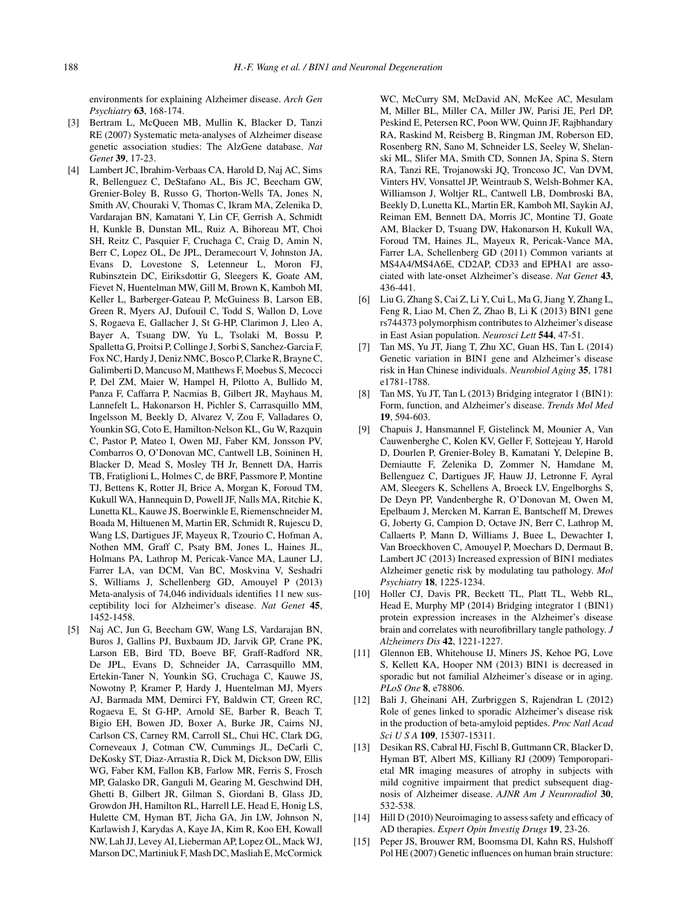environments for explaining Alzheimer disease. *Arch Gen Psychiatry* **63**, 168-174.

- [3] Bertram L, McQueen MB, Mullin K, Blacker D, Tanzi RE (2007) Systematic meta-analyses of Alzheimer disease genetic association studies: The AlzGene database. *Nat Genet* **39**, 17-23.
- [4] Lambert JC, Ibrahim-Verbaas CA, Harold D, Naj AC, Sims R, Bellenguez C, DeStafano AL, Bis JC, Beecham GW, Grenier-Boley B, Russo G, Thorton-Wells TA, Jones N, Smith AV, Chouraki V, Thomas C, Ikram MA, Zelenika D, Vardarajan BN, Kamatani Y, Lin CF, Gerrish A, Schmidt H, Kunkle B, Dunstan ML, Ruiz A, Bihoreau MT, Choi SH, Reitz C, Pasquier F, Cruchaga C, Craig D, Amin N, Berr C, Lopez OL, De JPL, Deramecourt V, Johnston JA, Evans D, Lovestone S, Letenneur L, Moron FJ, Rubinsztein DC, Eiriksdottir G, Sleegers K, Goate AM, Fievet N, Huentelman MW, Gill M, Brown K, Kamboh MI, Keller L, Barberger-Gateau P, McGuiness B, Larson EB, Green R, Myers AJ, Dufouil C, Todd S, Wallon D, Love S, Rogaeva E, Gallacher J, St G-HP, Clarimon J, Lleo A, Bayer A, Tsuang DW, Yu L, Tsolaki M, Bossu P, Spalletta G, Proitsi P, Collinge J, Sorbi S, Sanchez-Garcia F, Fox NC, Hardy J, Deniz NMC, Bosco P, Clarke R, Brayne C, Galimberti D, Mancuso M, Matthews F, Moebus S, Mecocci P, Del ZM, Maier W, Hampel H, Pilotto A, Bullido M, Panza F, Caffarra P, Nacmias B, Gilbert JR, Mayhaus M, Lannefelt L, Hakonarson H, Pichler S, Carrasquillo MM, Ingelsson M, Beekly D, Alvarez V, Zou F, Valladares O, Younkin SG, Coto E, Hamilton-Nelson KL, Gu W, Razquin C, Pastor P, Mateo I, Owen MJ, Faber KM, Jonsson PV, Combarros O, O'Donovan MC, Cantwell LB, Soininen H, Blacker D, Mead S, Mosley TH Jr, Bennett DA, Harris TB, Fratiglioni L, Holmes C, de BRF, Passmore P, Montine TJ, Bettens K, Rotter JI, Brice A, Morgan K, Foroud TM, Kukull WA, Hannequin D, Powell JF, Nalls MA, Ritchie K, Lunetta KL, Kauwe JS, Boerwinkle E, Riemenschneider M, Boada M, Hiltuenen M, Martin ER, Schmidt R, Rujescu D, Wang LS, Dartigues JF, Mayeux R, Tzourio C, Hofman A, Nothen MM, Graff C, Psaty BM, Jones L, Haines JL, Holmans PA, Lathrop M, Pericak-Vance MA, Launer LJ, Farrer LA, van DCM, Van BC, Moskvina V, Seshadri S, Williams J, Schellenberg GD, Amouyel P (2013) Meta-analysis of 74,046 individuals identifies 11 new susceptibility loci for Alzheimer's disease. *Nat Genet* **45**, 1452-1458.
- [5] Naj AC, Jun G, Beecham GW, Wang LS, Vardarajan BN, Buros J, Gallins PJ, Buxbaum JD, Jarvik GP, Crane PK, Larson EB, Bird TD, Boeve BF, Graff-Radford NR, De JPL, Evans D, Schneider JA, Carrasquillo MM, Ertekin-Taner N, Younkin SG, Cruchaga C, Kauwe JS, Nowotny P, Kramer P, Hardy J, Huentelman MJ, Myers AJ, Barmada MM, Demirci FY, Baldwin CT, Green RC, Rogaeva E, St G-HP, Arnold SE, Barber R, Beach T, Bigio EH, Bowen JD, Boxer A, Burke JR, Cairns NJ, Carlson CS, Carney RM, Carroll SL, Chui HC, Clark DG, Corneveaux J, Cotman CW, Cummings JL, DeCarli C, DeKosky ST, Diaz-Arrastia R, Dick M, Dickson DW, Ellis WG, Faber KM, Fallon KB, Farlow MR, Ferris S, Frosch MP, Galasko DR, Ganguli M, Gearing M, Geschwind DH, Ghetti B, Gilbert JR, Gilman S, Giordani B, Glass JD, Growdon JH, Hamilton RL, Harrell LE, Head E, Honig LS, Hulette CM, Hyman BT, Jicha GA, Jin LW, Johnson N, Karlawish J, Karydas A, Kaye JA, Kim R, Koo EH, Kowall NW, Lah JJ, Levey AI, Lieberman AP, Lopez OL, Mack WJ, Marson DC, Martiniuk F, Mash DC, Masliah E, McCormick

WC, McCurry SM, McDavid AN, McKee AC, Mesulam M, Miller BL, Miller CA, Miller JW, Parisi JE, Perl DP, Peskind E, Petersen RC, Poon WW, Quinn JF, Rajbhandary RA, Raskind M, Reisberg B, Ringman JM, Roberson ED, Rosenberg RN, Sano M, Schneider LS, Seeley W, Shelanski ML, Slifer MA, Smith CD, Sonnen JA, Spina S, Stern RA, Tanzi RE, Trojanowski JQ, Troncoso JC, Van DVM, Vinters HV, Vonsattel JP, Weintraub S, Welsh-Bohmer KA, Williamson J, Woltjer RL, Cantwell LB, Dombroski BA, Beekly D, Lunetta KL, Martin ER, Kamboh MI, Saykin AJ, Reiman EM, Bennett DA, Morris JC, Montine TJ, Goate AM, Blacker D, Tsuang DW, Hakonarson H, Kukull WA, Foroud TM, Haines JL, Mayeux R, Pericak-Vance MA, Farrer LA, Schellenberg GD (2011) Common variants at MS4A4/MS4A6E, CD2AP, CD33 and EPHA1 are associated with late-onset Alzheimer's disease. *Nat Genet* **43**, 436-441.

- [6] Liu G, Zhang S, Cai Z, Li Y, Cui L, Ma G, Jiang Y, Zhang L, Feng R, Liao M, Chen Z, Zhao B, Li K (2013) BIN1 gene rs744373 polymorphism contributes to Alzheimer's disease in East Asian population. *Neurosci Lett* **544**, 47-51.
- [7] Tan MS, Yu JT, Jiang T, Zhu XC, Guan HS, Tan L (2014) Genetic variation in BIN1 gene and Alzheimer's disease risk in Han Chinese individuals. *Neurobiol Aging* **35**, 1781 e1781-1788.
- [8] Tan MS, Yu JT, Tan L (2013) Bridging integrator 1 (BIN1): Form, function, and Alzheimer's disease. *Trends Mol Med* **19**, 594-603.
- [9] Chapuis J, Hansmannel F, Gistelinck M, Mounier A, Van Cauwenberghe C, Kolen KV, Geller F, Sottejeau Y, Harold D, Dourlen P, Grenier-Boley B, Kamatani Y, Delepine B, Demiautte F, Zelenika D, Zommer N, Hamdane M, Bellenguez C, Dartigues JF, Hauw JJ, Letronne F, Ayral AM, Sleegers K, Schellens A, Broeck LV, Engelborghs S, De Deyn PP, Vandenberghe R, O'Donovan M, Owen M, Epelbaum J, Mercken M, Karran E, Bantscheff M, Drewes G, Joberty G, Campion D, Octave JN, Berr C, Lathrop M, Callaerts P, Mann D, Williams J, Buee L, Dewachter I, Van Broeckhoven C, Amouyel P, Moechars D, Dermaut B, Lambert JC (2013) Increased expression of BIN1 mediates Alzheimer genetic risk by modulating tau pathology. *Mol Psychiatry* **18**, 1225-1234.
- [10] Holler CJ, Davis PR, Beckett TL, Platt TL, Webb RL, Head E, Murphy MP (2014) Bridging integrator 1 (BIN1) protein expression increases in the Alzheimer's disease brain and correlates with neurofibrillary tangle pathology. *J Alzheimers Dis* **42**, 1221-1227.
- [11] Glennon EB, Whitehouse IJ, Miners JS, Kehoe PG, Love S, Kellett KA, Hooper NM (2013) BIN1 is decreased in sporadic but not familial Alzheimer's disease or in aging. *PLoS One* **8**, e78806.
- [12] Bali J, Gheinani AH, Zurbriggen S, Rajendran L (2012) Role of genes linked to sporadic Alzheimer's disease risk in the production of beta-amyloid peptides. *Proc Natl Acad Sci U S A* **109**, 15307-15311.
- [13] Desikan RS, Cabral HJ, Fischl B, Guttmann CR, Blacker D, Hyman BT, Albert MS, Killiany RJ (2009) Temporoparietal MR imaging measures of atrophy in subjects with mild cognitive impairment that predict subsequent diagnosis of Alzheimer disease. *AJNR Am J Neuroradiol* **30**, 532-538.
- [14] Hill D (2010) Neuroimaging to assess safety and efficacy of AD therapies. *Expert Opin Investig Drugs* **19**, 23-26.
- [15] Peper JS, Brouwer RM, Boomsma DI, Kahn RS, Hulshoff Pol HE (2007) Genetic influences on human brain structure: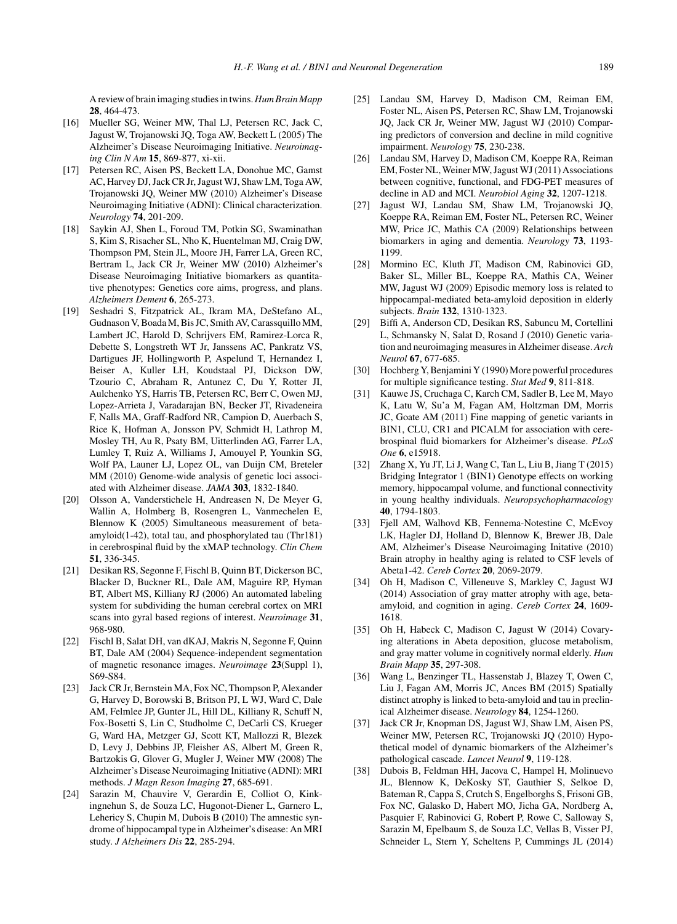A review of brain imaging studies in twins.*Hum Brain Mapp* **28**, 464-473.

- [16] Mueller SG, Weiner MW, Thal LJ, Petersen RC, Jack C, Jagust W, Trojanowski JQ, Toga AW, Beckett L (2005) The Alzheimer's Disease Neuroimaging Initiative. *Neuroimaging Clin N Am* **15**, 869-877, xi-xii.
- [17] Petersen RC, Aisen PS, Beckett LA, Donohue MC, Gamst AC, Harvey DJ, Jack CR Jr, Jagust WJ, Shaw LM, Toga AW, Trojanowski JQ, Weiner MW (2010) Alzheimer's Disease Neuroimaging Initiative (ADNI): Clinical characterization. *Neurology* **74**, 201-209.
- [18] Saykin AJ, Shen L, Foroud TM, Potkin SG, Swaminathan S, Kim S, Risacher SL, Nho K, Huentelman MJ, Craig DW, Thompson PM, Stein JL, Moore JH, Farrer LA, Green RC, Bertram L, Jack CR Jr, Weiner MW (2010) Alzheimer's Disease Neuroimaging Initiative biomarkers as quantitative phenotypes: Genetics core aims, progress, and plans. *Alzheimers Dement* **6**, 265-273.
- [19] Seshadri S, Fitzpatrick AL, Ikram MA, DeStefano AL, Gudnason V, Boada M, Bis JC, Smith AV, Carassquillo MM, Lambert JC, Harold D, Schrijvers EM, Ramirez-Lorca R, Debette S, Longstreth WT Jr, Janssens AC, Pankratz VS, Dartigues JF, Hollingworth P, Aspelund T, Hernandez I, Beiser A, Kuller LH, Koudstaal PJ, Dickson DW, Tzourio C, Abraham R, Antunez C, Du Y, Rotter JI, Aulchenko YS, Harris TB, Petersen RC, Berr C, Owen MJ, Lopez-Arrieta J, Varadarajan BN, Becker JT, Rivadeneira F, Nalls MA, Graff-Radford NR, Campion D, Auerbach S, Rice K, Hofman A, Jonsson PV, Schmidt H, Lathrop M, Mosley TH, Au R, Psaty BM, Uitterlinden AG, Farrer LA, Lumley T, Ruiz A, Williams J, Amouyel P, Younkin SG, Wolf PA, Launer LJ, Lopez OL, van Duijn CM, Breteler MM (2010) Genome-wide analysis of genetic loci associated with Alzheimer disease. *JAMA* **303**, 1832-1840.
- [20] Olsson A, Vanderstichele H, Andreasen N, De Meyer G, Wallin A, Holmberg B, Rosengren L, Vanmechelen E, Blennow K (2005) Simultaneous measurement of betaamyloid(1-42), total tau, and phosphorylated tau (Thr181) in cerebrospinal fluid by the xMAP technology. *Clin Chem* **51**, 336-345.
- [21] Desikan RS, Segonne F, Fischl B, Quinn BT, Dickerson BC, Blacker D, Buckner RL, Dale AM, Maguire RP, Hyman BT, Albert MS, Killiany RJ (2006) An automated labeling system for subdividing the human cerebral cortex on MRI scans into gyral based regions of interest. *Neuroimage* **31**, 968-980.
- [22] Fischl B, Salat DH, van dKAJ, Makris N, Segonne F, Quinn BT, Dale AM (2004) Sequence-independent segmentation of magnetic resonance images. *Neuroimage* **23**(Suppl 1), S69-S84.
- [23] Jack CR Jr, Bernstein MA, Fox NC, Thompson P, Alexander G, Harvey D, Borowski B, Britson PJ, L WJ, Ward C, Dale AM, Felmlee JP, Gunter JL, Hill DL, Killiany R, Schuff N, Fox-Bosetti S, Lin C, Studholme C, DeCarli CS, Krueger G, Ward HA, Metzger GJ, Scott KT, Mallozzi R, Blezek D, Levy J, Debbins JP, Fleisher AS, Albert M, Green R, Bartzokis G, Glover G, Mugler J, Weiner MW (2008) The Alzheimer's Disease Neuroimaging Initiative (ADNI): MRI methods. *J Magn Reson Imaging* **27**, 685-691.
- [24] Sarazin M, Chauvire V, Gerardin E, Colliot O, Kinkingnehun S, de Souza LC, Hugonot-Diener L, Garnero L, Lehericy S, Chupin M, Dubois B (2010) The amnestic syndrome of hippocampal type in Alzheimer's disease: An MRI study. *J Alzheimers Dis* **22**, 285-294.
- [25] Landau SM, Harvey D, Madison CM, Reiman EM, Foster NL, Aisen PS, Petersen RC, Shaw LM, Trojanowski JQ, Jack CR Jr, Weiner MW, Jagust WJ (2010) Comparing predictors of conversion and decline in mild cognitive impairment. *Neurology* **75**, 230-238.
- [26] Landau SM, Harvey D, Madison CM, Koeppe RA, Reiman EM, Foster NL, Weiner MW, Jagust WJ (2011) Associations between cognitive, functional, and FDG-PET measures of decline in AD and MCI. *Neurobiol Aging* **32**, 1207-1218.
- [27] Jagust WJ, Landau SM, Shaw LM, Trojanowski JQ, Koeppe RA, Reiman EM, Foster NL, Petersen RC, Weiner MW, Price JC, Mathis CA (2009) Relationships between biomarkers in aging and dementia. *Neurology* **73**, 1193- 1199.
- [28] Mormino EC, Kluth JT, Madison CM, Rabinovici GD, Baker SL, Miller BL, Koeppe RA, Mathis CA, Weiner MW, Jagust WJ (2009) Episodic memory loss is related to hippocampal-mediated beta-amyloid deposition in elderly subjects. *Brain* **132**, 1310-1323.
- [29] Biffi A, Anderson CD, Desikan RS, Sabuncu M, Cortellini L, Schmansky N, Salat D, Rosand J (2010) Genetic variation and neuroimaging measures in Alzheimer disease. *Arch Neurol* **67**, 677-685.
- [30] Hochberg Y, Benjamini Y (1990) More powerful procedures for multiple significance testing. *Stat Med* **9**, 811-818.
- [31] Kauwe JS, Cruchaga C, Karch CM, Sadler B, Lee M, Mayo K, Latu W, Su'a M, Fagan AM, Holtzman DM, Morris JC, Goate AM (2011) Fine mapping of genetic variants in BIN1, CLU, CR1 and PICALM for association with cerebrospinal fluid biomarkers for Alzheimer's disease. *PLoS One* **6**, e15918.
- [32] Zhang X, Yu JT, Li J, Wang C, Tan L, Liu B, Jiang T (2015) Bridging Integrator 1 (BIN1) Genotype effects on working memory, hippocampal volume, and functional connectivity in young healthy individuals. *Neuropsychopharmacology* **40**, 1794-1803.
- [33] Fjell AM, Walhovd KB, Fennema-Notestine C, McEvoy LK, Hagler DJ, Holland D, Blennow K, Brewer JB, Dale AM, Alzheimer's Disease Neuroimaging Initative (2010) Brain atrophy in healthy aging is related to CSF levels of Abeta1-42. *Cereb Cortex* **20**, 2069-2079.
- [34] Oh H, Madison C, Villeneuve S, Markley C, Jagust WJ (2014) Association of gray matter atrophy with age, betaamyloid, and cognition in aging. *Cereb Cortex* **24**, 1609- 1618.
- [35] Oh H, Habeck C, Madison C, Jagust W (2014) Covarying alterations in Abeta deposition, glucose metabolism, and gray matter volume in cognitively normal elderly. *Hum Brain Mapp* **35**, 297-308.
- [36] Wang L, Benzinger TL, Hassenstab J, Blazey T, Owen C, Liu J, Fagan AM, Morris JC, Ances BM (2015) Spatially distinct atrophy is linked to beta-amyloid and tau in preclinical Alzheimer disease. *Neurology* **84**, 1254-1260.
- [37] Jack CR Jr, Knopman DS, Jagust WJ, Shaw LM, Aisen PS, Weiner MW, Petersen RC, Trojanowski JQ (2010) Hypothetical model of dynamic biomarkers of the Alzheimer's pathological cascade. *Lancet Neurol* **9**, 119-128.
- [38] Dubois B, Feldman HH, Jacova C, Hampel H, Molinuevo JL, Blennow K, DeKosky ST, Gauthier S, Selkoe D, Bateman R, Cappa S, Crutch S, Engelborghs S, Frisoni GB, Fox NC, Galasko D, Habert MO, Jicha GA, Nordberg A, Pasquier F, Rabinovici G, Robert P, Rowe C, Salloway S, Sarazin M, Epelbaum S, de Souza LC, Vellas B, Visser PJ, Schneider L, Stern Y, Scheltens P, Cummings JL (2014)